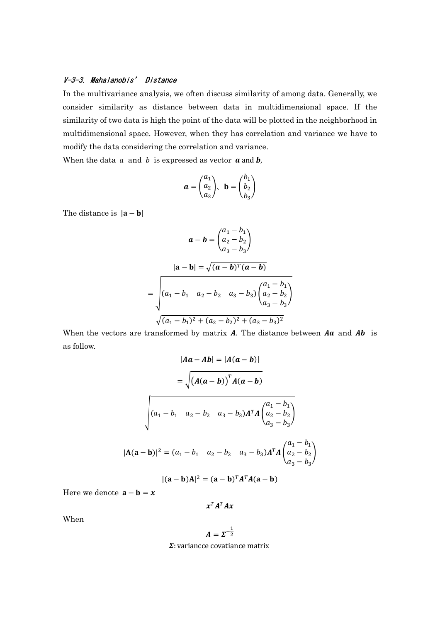## V-3-3. Mahalanobis' Distance

In the multivariance analysis, we often discuss similarity of among data. Generally, we consider similarity as distance between data in multidimensional space. If the similarity of two data is high the point of the data will be plotted in the neighborhood in multidimensional space. However, when they has correlation and variance we have to modify the data considering the correlation and variance.

When the data  $a$  and  $b$  is expressed as vector  $a$  and  $b$ ,

$$
\mathbf{a} = \begin{pmatrix} a_1 \\ a_2 \\ a_3 \end{pmatrix}, \quad \mathbf{b} = \begin{pmatrix} b_1 \\ b_2 \\ b_3 \end{pmatrix}
$$

The distance is  $|\mathbf{a} - \mathbf{b}|$ 

$$
\mathbf{a} - \mathbf{b} = \begin{pmatrix} a_1 - b_1 \\ a_2 - b_2 \\ a_3 - b_3 \end{pmatrix}
$$

$$
|\mathbf{a} - \mathbf{b}| = \sqrt{(\mathbf{a} - \mathbf{b})^T (\mathbf{a} - \mathbf{b})}
$$

$$
= \sqrt{(a_1 - b_1 \quad a_2 - b_2 \quad a_3 - b_3) \begin{pmatrix} a_1 - b_1 \\ a_2 - b_2 \\ a_3 - b_3 \end{pmatrix}}
$$

$$
\sqrt{(a_1 - b_1)^2 + (a_2 - b_2)^2 + (a_3 - b_3)^2}
$$

When the vectors are transformed by matrix  $A$ . The distance between  $A\mathbf{a}$  and  $A\mathbf{b}$  is as follow.

$$
|Aa - Ab| = |A(a - b)|
$$
  
=  $\sqrt{(A(a - b))^T A(a - b)}$   

$$
\sqrt{(a_1 - b_1 \quad a_2 - b_2 \quad a_3 - b_3) A^T A \begin{pmatrix} a_1 - b_1 \\ a_2 - b_2 \\ a_3 - b_3 \end{pmatrix}}
$$
  
 $|A(a - b)|^2 = (a_1 - b_1 \quad a_2 - b_2 \quad a_3 - b_3) A^T A \begin{pmatrix} a_1 - b_1 \\ a_2 - b_2 \\ a_3 - b_3 \end{pmatrix}$   
 $|(a - b)A|^2 = (a - b)^T A^T A(a - b)$ 

Here we denote  $\mathbf{a} - \mathbf{b} = x$ 

$$
x^T A^T A x
$$

When

$$
A=\Sigma^{-\frac{1}{2}}
$$

 $\Sigma$ : variancce covatiance matrix